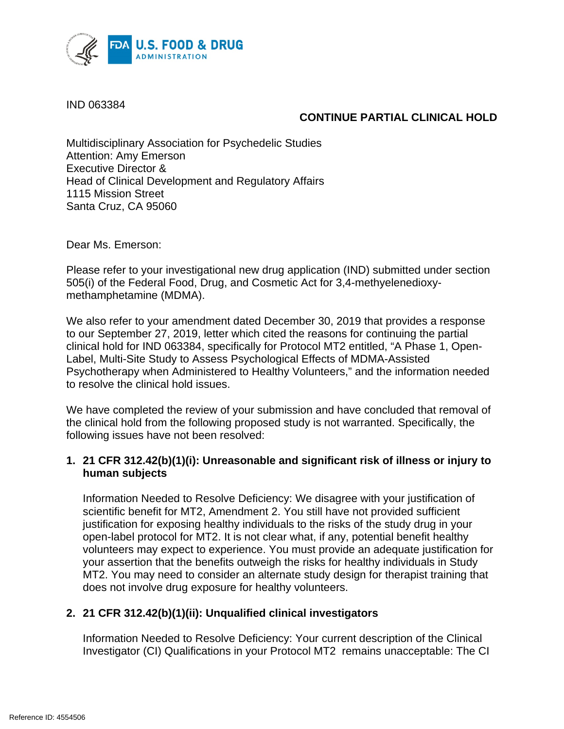

IND 063384

## **CONTINUE PARTIAL CLINICAL HOLD**

Multidisciplinary Association for Psychedelic Studies Attention: Amy Emerson Executive Director & Head of Clinical Development and Regulatory Affairs 1115 Mission Street Santa Cruz, CA 95060

Dear Ms. Emerson:

Please refer to your investigational new drug application (IND) submitted under section 505(i) of the Federal Food, Drug, and Cosmetic Act for 3,4-methyelenedioxymethamphetamine (MDMA).

We also refer to your amendment dated December 30, 2019 that provides a response to our September 27, 2019, letter which cited the reasons for continuing the partial clinical hold for IND 063384, specifically for Protocol MT2 entitled, "A Phase 1, Open-Label, Multi-Site Study to Assess Psychological Effects of MDMA-Assisted Psychotherapy when Administered to Healthy Volunteers," and the information needed to resolve the clinical hold issues.

We have completed the review of your submission and have concluded that removal of the clinical hold from the following proposed study is not warranted. Specifically, the following issues have not been resolved:

## **1. 21 CFR 312.42(b)(1)(i): Unreasonable and significant risk of illness or injury to human subjects**

Information Needed to Resolve Deficiency: We disagree with your justification of scientific benefit for MT2, Amendment 2. You still have not provided sufficient justification for exposing healthy individuals to the risks of the study drug in your open-label protocol for MT2. It is not clear what, if any, potential benefit healthy volunteers may expect to experience. You must provide an adequate justification for your assertion that the benefits outweigh the risks for healthy individuals in Study MT2. You may need to consider an alternate study design for therapist training that does not involve drug exposure for healthy volunteers.

## **2. 21 CFR 312.42(b)(1)(ii): Unqualified clinical investigators**

Information Needed to Resolve Deficiency: Your current description of the Clinical Investigator (CI) Qualifications in your Protocol MT2 remains unacceptable: The CI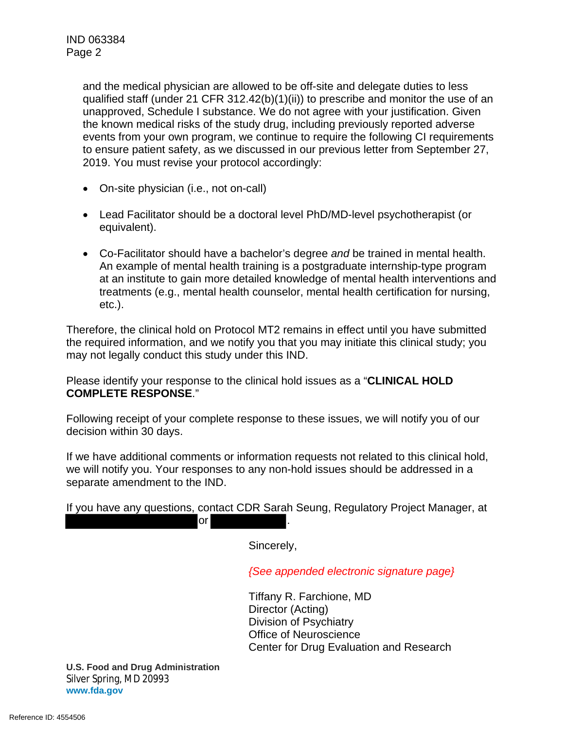and the medical physician are allowed to be off-site and delegate duties to less qualified staff (under 21 CFR 312.42(b)(1)(ii)) to prescribe and monitor the use of an unapproved, Schedule I substance. We do not agree with your justification. Given the known medical risks of the study drug, including previously reported adverse events from your own program, we continue to require the following CI requirements to ensure patient safety, as we discussed in our previous letter from September 27, 2019. You must revise your protocol accordingly:

- On-site physician (i.e., not on-call)
- Lead Facilitator should be a doctoral level PhD/MD-level psychotherapist (or equivalent).
- Co-Facilitator should have a bachelor's degree *and* be trained in mental health. An example of mental health training is a postgraduate internship-type program at an institute to gain more detailed knowledge of mental health interventions and treatments (e.g., mental health counselor, mental health certification for nursing, etc.).

Therefore, the clinical hold on Protocol MT2 remains in effect until you have submitted the required information, and we notify you that you may initiate this clinical study; you may not legally conduct this study under this IND.

Please identify your response to the clinical hold issues as a "**CLINICAL HOLD COMPLETE RESPONSE**."

Following receipt of your complete response to these issues, we will notify you of our decision within 30 days.

If we have additional comments or information requests not related to this clinical hold, we will notify you. Your responses to any non-hold issues should be addressed in a separate amendment to the IND.

If you have any questions, contact CDR Sarah Seung, Regulatory Project Manager, at  $or$ 

Sincerely,

*{See appended electronic signature page}*

Tiffany R. Farchione, MD Director (Acting) Division of Psychiatry Office of Neuroscience Center for Drug Evaluation and Research

**U.S. Food and Drug Administration** Silver Spring, MD 20993 **www.fda.gov**